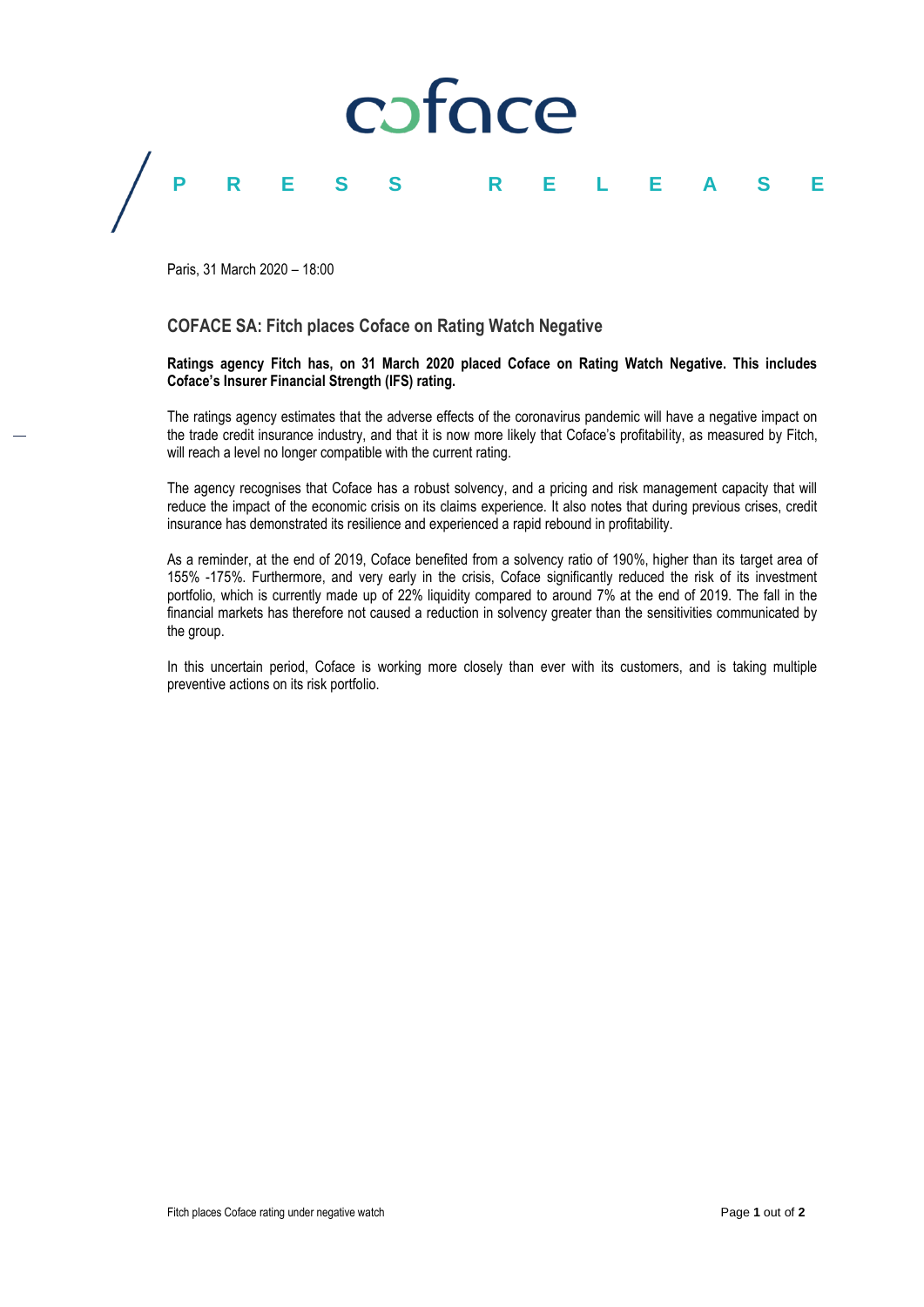

Paris, 31 March 2020 – 18:00

### **COFACE SA: Fitch places Coface on Rating Watch Negative**

#### **Ratings agency Fitch has, on 31 March 2020 placed Coface on Rating Watch Negative. This includes Coface's Insurer Financial Strength (IFS) rating.**

The ratings agency estimates that the adverse effects of the coronavirus pandemic will have a negative impact on the trade credit insurance industry, and that it is now more likely that Coface's profitability, as measured by Fitch, will reach a level no longer compatible with the current rating.

The agency recognises that Coface has a robust solvency, and a pricing and risk management capacity that will reduce the impact of the economic crisis on its claims experience. It also notes that during previous crises, credit insurance has demonstrated its resilience and experienced a rapid rebound in profitability.

As a reminder, at the end of 2019, Coface benefited from a solvency ratio of 190%, higher than its target area of 155% -175%. Furthermore, and very early in the crisis, Coface significantly reduced the risk of its investment portfolio, which is currently made up of 22% liquidity compared to around 7% at the end of 2019. The fall in the financial markets has therefore not caused a reduction in solvency greater than the sensitivities communicated by the group.

In this uncertain period, Coface is working more closely than ever with its customers, and is taking multiple preventive actions on its risk portfolio.